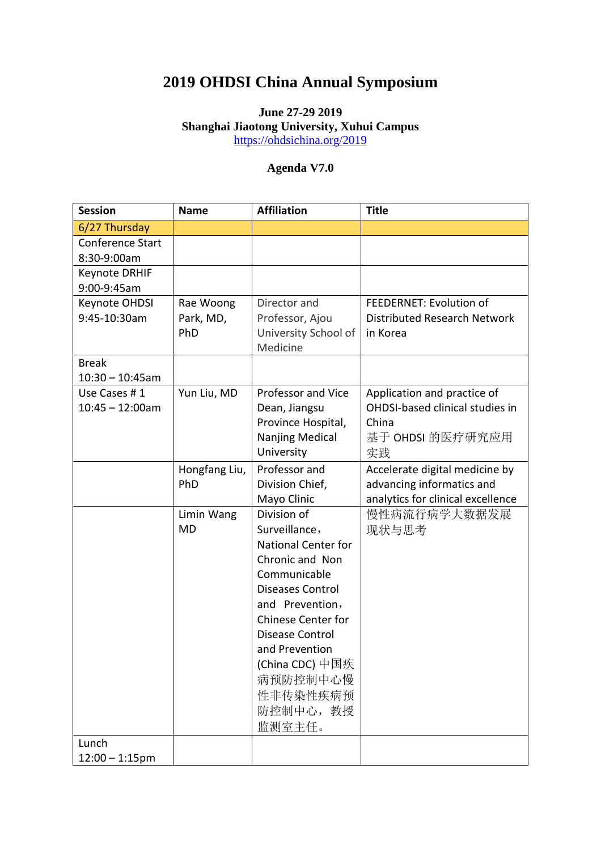## **2019 OHDSI China Annual Symposium**

## **June 27-29 2019 Shanghai Jiaotong University, Xuhui Campus** <https://ohdsichina.org/2019>

## **Agenda V7.0**

| <b>Session</b>       | <b>Name</b>   | <b>Affiliation</b>                | <b>Title</b>                      |
|----------------------|---------------|-----------------------------------|-----------------------------------|
| 6/27 Thursday        |               |                                   |                                   |
| Conference Start     |               |                                   |                                   |
| 8:30-9:00am          |               |                                   |                                   |
| <b>Keynote DRHIF</b> |               |                                   |                                   |
| 9:00-9:45am          |               |                                   |                                   |
| Keynote OHDSI        | Rae Woong     | Director and                      | FEEDERNET: Evolution of           |
| 9:45-10:30am         | Park, MD,     | Professor, Ajou                   | Distributed Research Network      |
|                      | PhD           | University School of              | in Korea                          |
|                      |               | Medicine                          |                                   |
| <b>Break</b>         |               |                                   |                                   |
| $10:30 - 10:45am$    |               |                                   |                                   |
| Use Cases #1         | Yun Liu, MD   | Professor and Vice                | Application and practice of       |
| $10:45 - 12:00am$    |               | Dean, Jiangsu                     | OHDSI-based clinical studies in   |
|                      |               | Province Hospital,                | China                             |
|                      |               | <b>Nanjing Medical</b>            | 基于 OHDSI 的医疗研究应用                  |
|                      |               | University                        | 实践                                |
|                      | Hongfang Liu, | Professor and                     | Accelerate digital medicine by    |
|                      | PhD           | Division Chief,                   | advancing informatics and         |
|                      |               | Mayo Clinic                       | analytics for clinical excellence |
|                      | Limin Wang    | Division of                       | 慢性病流行病学大数据发展                      |
|                      | <b>MD</b>     | Surveillance,                     | 现状与思考                             |
|                      |               | National Center for               |                                   |
|                      |               | Chronic and Non                   |                                   |
|                      |               | Communicable                      |                                   |
|                      |               | <b>Diseases Control</b>           |                                   |
|                      |               | and Prevention,                   |                                   |
|                      |               | <b>Chinese Center for</b>         |                                   |
|                      |               | Disease Control                   |                                   |
|                      |               | and Prevention<br>(China CDC) 中国疾 |                                   |
|                      |               | 病预防控制中心慢                          |                                   |
|                      |               |                                   |                                   |
|                      |               | 性非传染性疾病预                          |                                   |
|                      |               | 防控制中心, 教授                         |                                   |
|                      |               | 监测室主任。                            |                                   |
| Lunch                |               |                                   |                                   |
| $12:00 - 1:15$ pm    |               |                                   |                                   |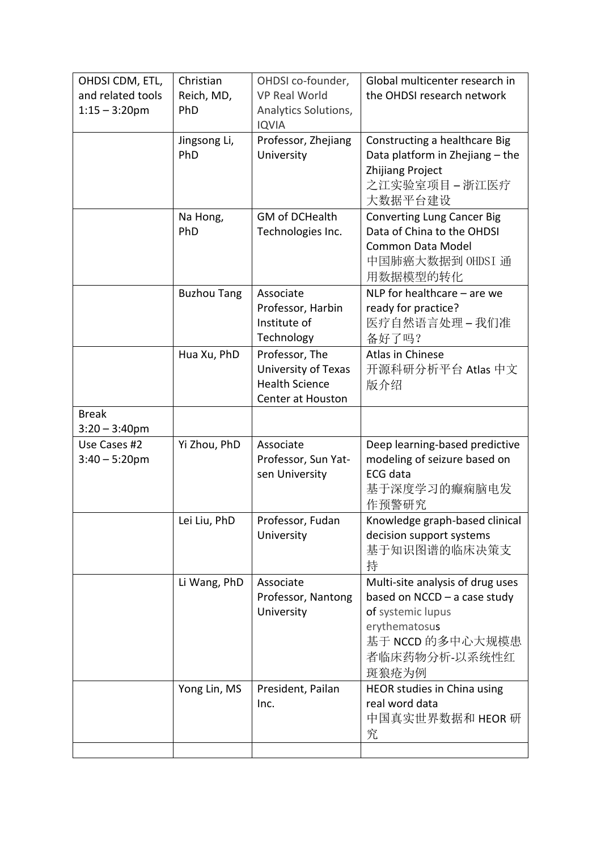| OHDSI CDM, ETL,<br>and related tools | Christian<br>Reich, MD, | OHDSI co-founder,<br><b>VP Real World</b>                                           | Global multicenter research in<br>the OHDSI research network                                                                                           |
|--------------------------------------|-------------------------|-------------------------------------------------------------------------------------|--------------------------------------------------------------------------------------------------------------------------------------------------------|
| $1:15 - 3:20$ pm                     | PhD                     | Analytics Solutions,<br><b>IQVIA</b>                                                |                                                                                                                                                        |
|                                      | Jingsong Li,<br>PhD     | Professor, Zhejiang<br>University                                                   | Constructing a healthcare Big<br>Data platform in Zhejiang - the<br><b>Zhijiang Project</b><br>之江实验室项目-浙江医疗<br>大数据平台建设                                 |
|                                      | Na Hong,<br>PhD         | <b>GM of DCHealth</b><br>Technologies Inc.                                          | <b>Converting Lung Cancer Big</b><br>Data of China to the OHDSI<br>Common Data Model<br>中国肺癌大数据到 OHDSI 通<br>用数据模型的转化                                   |
|                                      | <b>Buzhou Tang</b>      | Associate<br>Professor, Harbin<br>Institute of<br>Technology                        | NLP for healthcare $-$ are we<br>ready for practice?<br>医疗自然语言处理-我们准<br>备好了吗?                                                                          |
|                                      | Hua Xu, PhD             | Professor, The<br>University of Texas<br><b>Health Science</b><br>Center at Houston | Atlas in Chinese<br>开源科研分析平台 Atlas 中文<br>版介绍                                                                                                           |
| <b>Break</b><br>$3:20 - 3:40$ pm     |                         |                                                                                     |                                                                                                                                                        |
| Use Cases #2<br>$3:40 - 5:20$ pm     | Yi Zhou, PhD            | Associate<br>Professor, Sun Yat-<br>sen University                                  | Deep learning-based predictive<br>modeling of seizure based on<br><b>ECG</b> data<br>基于深度学习的癫痫脑电发<br>作预警研究                                             |
|                                      | Lei Liu, PhD            | Professor. Fudan<br>University                                                      | Knowledge graph-based clinical<br>decision support systems<br>基于知识图谱的临床决策支<br>持                                                                        |
|                                      | Li Wang, PhD            | Associate<br>Professor, Nantong<br>University                                       | Multi-site analysis of drug uses<br>based on $NCCD - a$ case study<br>of systemic lupus<br>erythematosus<br>基于 NCCD 的多中心大规模患<br>者临床药物分析-以系统性红<br>斑狼疮为例 |
|                                      | Yong Lin, MS            | President, Pailan<br>Inc.                                                           | HEOR studies in China using<br>real word data<br>中国真实世界数据和 HEOR 研<br>究                                                                                 |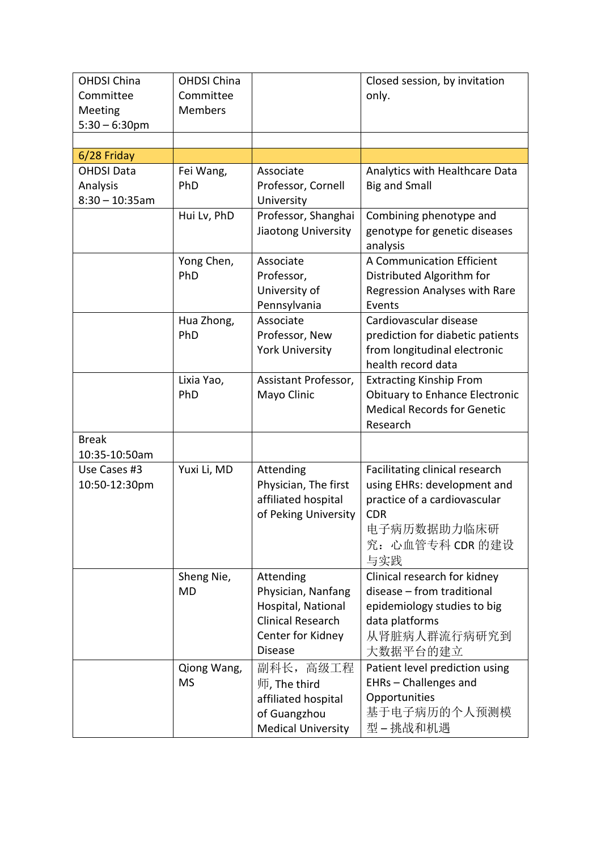| <b>OHDSI China</b><br>Committee<br>Meeting<br>$5:30 - 6:30$ pm | <b>OHDSI China</b><br>Committee<br><b>Members</b> |                                                                                                                          | Closed session, by invitation<br>only.                                                                                                                |
|----------------------------------------------------------------|---------------------------------------------------|--------------------------------------------------------------------------------------------------------------------------|-------------------------------------------------------------------------------------------------------------------------------------------------------|
|                                                                |                                                   |                                                                                                                          |                                                                                                                                                       |
| 6/28 Friday                                                    |                                                   |                                                                                                                          |                                                                                                                                                       |
| <b>OHDSI Data</b><br>Analysis<br>$8:30 - 10:35$ am             | Fei Wang,<br>PhD                                  | Associate<br>Professor, Cornell<br>University                                                                            | Analytics with Healthcare Data<br><b>Big and Small</b>                                                                                                |
|                                                                | Hui Lv, PhD                                       | Professor, Shanghai<br>Jiaotong University                                                                               | Combining phenotype and<br>genotype for genetic diseases<br>analysis                                                                                  |
|                                                                | Yong Chen,<br>PhD                                 | Associate<br>Professor,<br>University of<br>Pennsylvania                                                                 | A Communication Efficient<br>Distributed Algorithm for<br>Regression Analyses with Rare<br>Events                                                     |
|                                                                | Hua Zhong,<br>PhD                                 | Associate<br>Professor, New<br><b>York University</b>                                                                    | Cardiovascular disease<br>prediction for diabetic patients<br>from longitudinal electronic<br>health record data                                      |
|                                                                | Lixia Yao,<br>PhD                                 | Assistant Professor,<br>Mayo Clinic                                                                                      | <b>Extracting Kinship From</b><br><b>Obituary to Enhance Electronic</b><br><b>Medical Records for Genetic</b><br>Research                             |
| <b>Break</b><br>10:35-10:50am                                  |                                                   |                                                                                                                          |                                                                                                                                                       |
| Use Cases #3<br>10:50-12:30pm                                  | Yuxi Li, MD                                       | Attending<br>Physician, The first<br>affiliated hospital<br>of Peking University                                         | Facilitating clinical research<br>using EHRs: development and<br>practice of a cardiovascular<br><b>CDR</b><br>电子病历数据助力临床研<br>究: 心血管专科 CDR 的建设<br>与实践 |
|                                                                | Sheng Nie,<br><b>MD</b>                           | Attending<br>Physician, Nanfang<br>Hospital, National<br><b>Clinical Research</b><br>Center for Kidney<br><b>Disease</b> | Clinical research for kidney<br>disease - from traditional<br>epidemiology studies to big<br>data platforms<br>从肾脏病人群流行病研究到<br>大数据平台的建立               |
|                                                                | Qiong Wang,<br><b>MS</b>                          | 副科长, 高级工程<br>师, The third<br>affiliated hospital<br>of Guangzhou<br><b>Medical University</b>                            | Patient level prediction using<br>EHRs - Challenges and<br>Opportunities<br>基于电子病历的个人预测模<br>型-挑战和机遇                                                   |